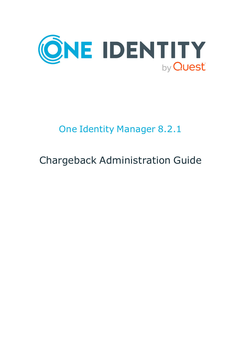

# One Identity Manager 8.2.1

# Chargeback Administration Guide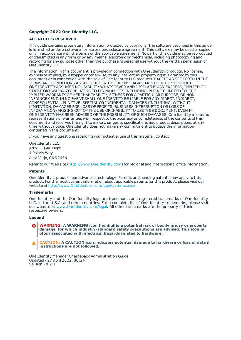#### **Copyright 2022 One Identity LLC.**

#### **ALL RIGHTS RESERVED.**

This guide contains proprietary information protected by copyright. The software described in this guide is furnished under a software license or nondisclosure agreement. This software may be used or copied only in accordance with the terms of the applicable agreement. No part of this guide may be reproduced or transmitted in any form or by any means, electronic or mechanical, including photocopying and recording for any purpose other than the purchaser's personal use without the written permission of One Identity LLC .

The information in this document is provided in connection with One Identity products. No license, express or implied, by estoppel or otherwise, to any intellectual property right is granted by this document or in connection with the sale of One Identity LLC products. EXCEPT AS SET FORTH IN THE TERMS AND CONDITIONS AS SPECIFIED IN THE LICENSE AGREEMENT FOR THIS PRODUCT, ONE IDENTITY ASSUMES NO LIABILITY WHATSOEVER AND DISCLAIMS ANY EXPRESS, IMPLIED OR STATUTORY WARRANTY RELATING TO ITS PRODUCTS INCLUDING, BUT NOT LIMITED TO, THE IMPLIED WARRANTY OF MERCHANTABILITY, FITNESS FOR A PARTICULAR PURPOSE, OR NON-INFRINGEMENT. IN NO EVENT SHALL ONE IDENTITY BE LIABLE FOR ANY DIRECT, INDIRECT, CONSEQUENTIAL, PUNITIVE, SPECIAL OR INCIDENTAL DAMAGES (INCLUDING, WITHOUT LIMITATION, DAMAGES FOR LOSS OF PROFITS, BUSINESS INTERRUPTION OR LOSS OF INFORMATION) ARISING OUT OF THE USE OR INABILITY TO USE THIS DOCUMENT, EVEN IF ONE IDENTITY HAS BEEN ADVISED OF THE POSSIBILITY OF SUCH DAMAGES. One Identity makes no representations or warranties with respect to the accuracy or completeness of the contents of this document and reserves the right to make changes to specifications and product descriptions at any time without notice. One Identity does not make any commitment to update the information contained in this document.

If you have any questions regarding your potential use of this material, contact:

One Identity LLC. Attn: LEGAL Dept 4 Polaris Way Aliso Viejo, CA 92656

Refer to our Web site ([http://www.OneIdentity.com](http://www.oneidentity.com/)) for regional and international office information.

#### **Patents**

One Identity is proud of our advanced technology. Patents and pending patents may apply to this product. For the most current information about applicable patents for this product, please visit our website at [http://www.OneIdentity.com/legal/patents.aspx](http://www.oneidentity.com/legal/patents.aspx).

#### **Trademarks**

One Identity and the One Identity logo are trademarks and registered trademarks of One Identity LLC. in the U.S.A. and other countries. For a complete list of One Identity trademarks, please visit our website at [www.OneIdentity.com/legal](http://www.oneidentity.com/legal). All other trademarks are the property of their respective owners.

#### **Legend**

**WARNING: A WARNING icon highlights a potential risk of bodily injury or property damage, for which industry-standard safety precautions are advised. This icon is often associated with electrical hazards related to hardware.**

**CAUTION: A CAUTION icon indicates potential damage to hardware or loss of data if** A **instructions are not followed.**

One Identity Manager Chargeback Administration Guide Updated - 27 April 2022, 00:24 Version - 8.2.1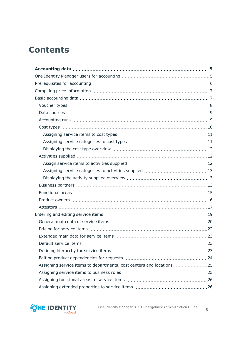# **Contents**

| Assigning service items to departments, cost centers and locations 25 |  |
|-----------------------------------------------------------------------|--|
|                                                                       |  |
|                                                                       |  |
|                                                                       |  |

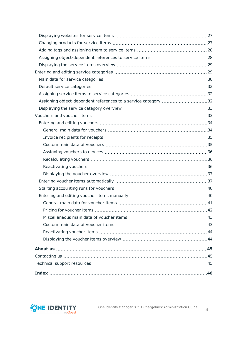| Assigning object-dependent references to a service category 32 |  |
|----------------------------------------------------------------|--|
|                                                                |  |
|                                                                |  |
|                                                                |  |
|                                                                |  |
|                                                                |  |
|                                                                |  |
|                                                                |  |
|                                                                |  |
|                                                                |  |
|                                                                |  |
|                                                                |  |
|                                                                |  |
|                                                                |  |
|                                                                |  |
|                                                                |  |
|                                                                |  |
|                                                                |  |
|                                                                |  |
|                                                                |  |
|                                                                |  |
|                                                                |  |
|                                                                |  |
|                                                                |  |

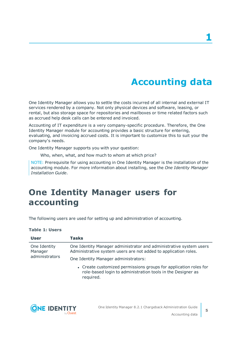# **Accounting data**

<span id="page-4-0"></span>One Identity Manager allows you to settle the costs incurred of all internal and external IT services rendered by a company. Not only physical devices and software, leasing, or rental, but also storage space for repositories and mailboxes or time related factors such as accrued help desk calls can be entered and invoiced.

Accounting of IT expenditure is a very company-specific procedure. Therefore, the One Identity Manager module for accounting provides a basic structure for entering, evaluating, and invoicing accrued costs. It is important to customize this to suit your the company's needs.

One Identity Manager supports you with your question:

Who, when, what, and how much to whom at which price?

NOTE: Prerequisite for using accounting in One Identity Manager is the installation of the accounting module. For more information about installing, see the *One Identity Manager Installation Guide*.

# <span id="page-4-1"></span>**One Identity Manager users for accounting**

The following users are used for setting up and administration of accounting.

#### **Table 1: Users**

| <b>User</b>             | <b>Tasks</b>                                                                                                                                 |
|-------------------------|----------------------------------------------------------------------------------------------------------------------------------------------|
| One Identity<br>Manager | One Identity Manager administrator and administrative system users<br>Administrative system users are not added to application roles.        |
| administrators          | One Identity Manager administrators:                                                                                                         |
|                         | • Create customized permissions groups for application roles for<br>role-based login to administration tools in the Designer as<br>required. |



**5**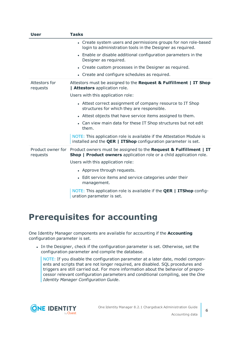| <b>User</b>                   | <b>Tasks</b>                                                                                                                                    |
|-------------------------------|-------------------------------------------------------------------------------------------------------------------------------------------------|
|                               | • Create system users and permissions groups for non role-based<br>login to administration tools in the Designer as required.                   |
|                               | • Enable or disable additional configuration parameters in the<br>Designer as required.                                                         |
|                               | • Create custom processes in the Designer as required.                                                                                          |
|                               | • Create and configure schedules as required.                                                                                                   |
| Attestors for<br>requests     | Attestors must be assigned to the Request & Fulfillment   IT Shop<br>  Attestors application role.                                              |
|                               | Users with this application role:                                                                                                               |
|                               | • Attest correct assignment of company resource to IT Shop<br>structures for which they are responsible.                                        |
|                               | • Attest objects that have service items assigned to them.                                                                                      |
|                               | • Can view main data for these IT Shop structures but not edit<br>them.                                                                         |
|                               | NOTE: This application role is available if the Attestation Module is<br>installed and the <b>QER   ITShop</b> configuration parameter is set.  |
| Product owner for<br>requests | Product owners must be assigned to the Request & Fulfillment   IT<br><b>Shop   Product owners</b> application role or a child application role. |
|                               | Users with this application role:                                                                                                               |
|                               | • Approve through requests.                                                                                                                     |
|                               | • Edit service items and service categories under their<br>management.                                                                          |
|                               | NOTE: This application role is available if the <b>QER   ITShop</b> config-<br>uration parameter is set.                                        |

# <span id="page-5-0"></span>**Prerequisites for accounting**

One Identity Manager components are available for accounting if the **Accounting** configuration parameter is set.

In the Designer, check if the configuration parameter is set. Otherwise, set the configuration parameter and compile the database.

NOTE: If you disable the configuration parameter at a later date, model components and scripts that are not longer required, are disabled. SQL procedures and triggers are still carried out. For more information about the behavior of preprocessor relevant configuration parameters and conditional compiling, see the *One Identity Manager Configuration Guide*.

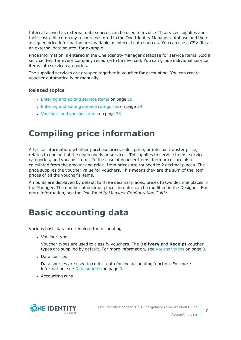Internal as well as external data sources can be used to invoice IT services supplies and their costs. All company resources stored in the One Identity Manager database and their assigned price information are available as internal data sources. You can use a CSV file as an external data source, for example.

Price information is entered in the One Identity Manager database for service items. Add a service item for every company resource to be invoiced. You can group individual service items into service categories.

The supplied services are grouped together in voucher for accounting. You can create voucher automatically or manually.

#### **Related topics**

- [Entering](#page-18-0) and editing service items on page 19
- Entering and editing service [categories](#page-28-1) on page 29
- [Vouchers](#page-32-1) and voucher items on page 33

# <span id="page-6-0"></span>**Compiling price information**

All price information, whether purchase price, sales price, or internal transfer price, relates to one unit of the given goods or services. This applies to service items, service categories, and voucher items. In the case of voucher items, item prices are also calculated from the amount and price. Item prices are rounded to 2 decimal places. The price supplies the voucher value for vouchers. This means they are the sum of the item prices of all the voucher's items.

Amounts are displayed by default to three decimal places, prices to two decimal places in the Manager. The number of decimal places to enter can be modified in the Designer. For more information, see the *One Identity Manager Configuration Guide*.

# <span id="page-6-1"></span>**Basic accounting data**

Various basic data are required for accounting.

• Voucher types

Voucher types are used to classify vouchers. The **Delivery** and **Receipt** voucher types are supplied by default. For more [information,](#page-7-0) see Voucher types on page 8.

• Data sources

Data sources are used to collect data for the accounting function. For [more](#page-8-0) [information,](#page-8-0) see Data sources on page 9.

• Accounting runs

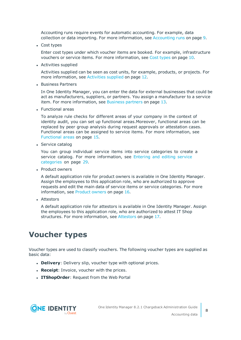Accounting runs require events for automatic accounting. For example, data collection or data importing. For more [information,](#page-8-1) see Accounting runs on page 9.

• Cost types

Enter cost types under which voucher items are booked. For example, infrastructure vouchers or service items. For more [information,](#page-9-0) see Cost types on page 10.

• Activities supplied

Activities supplied can be seen as cost units, for example, products, or projects. [For](#page-11-1) more [information,](#page-11-1) see Activities supplied on page 12.

• Business Partners

In One Identity Manager, you can enter the data for external businesses that could be act as manufacturers, suppliers, or partners. You assign a manufacturer to a service item. For more [information,](#page-12-2) see Business partners on page 13.

• Functional areas

To analyze rule checks for different areas of your company in the context of identity audit, you can set up functional areas.Moreover, functional areas can be replaced by peer group analysis during request approvals or attestation cases. Functional areas can be assigned to service items. For more [information,](#page-14-0) see [Functional](#page-14-0) areas on page 15.

• Service catalog

You can group individual service items into service categories to create a service catalog. For more [information,](#page-28-1) see Entering and editing service [categories](#page-28-1) on page 29.

• Product owners

A default application role for product owners is available in One Identity Manager. Assign the employees to this application role, who are authorized to approve requests and edit the main data of service items or service categories. For [more](#page-15-0) [information,](#page-15-0) see Product owners on page 16.

• Attestors

A default application role for attestors is available in One Identity Manager. Assign the employees to this application role, who are authorized to attest IT Shop structures. For more [information,](#page-16-0) see Attestors on page 17.

# <span id="page-7-0"></span>**Voucher types**

Voucher types are used to classify vouchers. The following voucher types are supplied as basic data:

- **.** Delivery: Delivery slip, voucher type with optional prices.
- **· Receipt**: Invoice, voucher with the prices.
- **. ITShopOrder: Request from the Web Portal**

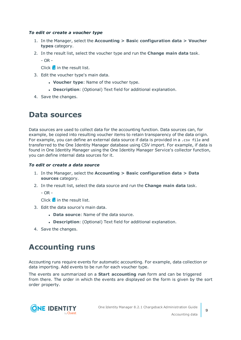#### *To edit or create a voucher type*

- 1. In the Manager, select the **Accounting > Basic configuration data > Voucher types** category.
- 2. In the result list, select the voucher type and run the **Change main data** task.

- OR -

Click  $\mathbf{t}$  in the result list.

- 3. Edit the voucher type's main data.
	- **.** Voucher type: Name of the voucher type.
	- **.** Description: (Optional) Text field for additional explanation.
- <span id="page-8-0"></span>4. Save the changes.

### **Data sources**

Data sources are used to collect data for the accounting function. Data sources can, for example, be copied into resulting voucher items to retain transparency of the data origin. For example, you can define an external data source if data is provided in a .csv file and transferred to the One Identity Manager database using CSV import. For example, if data is found in One Identity Manager using the One Identity Manager Service's collector function, you can define internal data sources for it.

#### *To edit or create a data source*

- 1. In the Manager, select the **Accounting > Basic configuration data > Data sources** category.
- 2. In the result list, select the data source and run the **Change main data** task.
	- $OR -$

Click  $\pm$  in the result list.

- 3. Edit the data source's main data.
	- **.** Data source: Name of the data source.
	- **.** Description: (Optional) Text field for additional explanation.
- <span id="page-8-1"></span>4. Save the changes.

### **Accounting runs**

Accounting runs require events for automatic accounting. For example, data collection or data importing. Add events to be run for each voucher type.

The events are summarized on a **Start accounting run** form and can be triggered from there. The order in which the events are displayed on the form is given by the sort order property.

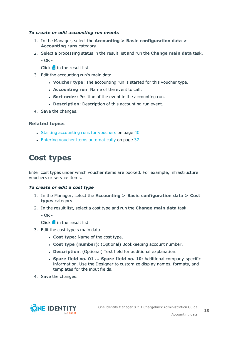#### *To create or edit accounting run events*

- 1. In the Manager, select the **Accounting > Basic configuration data > Accounting runs** category.
- 2. Select a processing status in the result list and run the **Change main data** task.

- OR -

Click  $\mathbf{t}$  in the result list.

- 3. Edit the accounting run's main data.
	- **Voucher type:** The accounting run is started for this voucher type.
	- **Accounting run: Name of the event to call.**
	- **.** Sort order: Position of the event in the accounting run.
	- **.** Description: Description of this accounting run event.
- 4. Save the changes.

#### **Related topics**

- Starting [accounting](#page-39-0) runs for vouchers on page 40
- Entering voucher items [automatically](#page-36-1) on page 37

# <span id="page-9-0"></span>**Cost types**

Enter cost types under which voucher items are booked. For example, infrastructure vouchers or service items.

#### *To create or edit a cost type*

- 1. In the Manager, select the **Accounting > Basic configuration data > Cost types** category.
- 2. In the result list, select a cost type and run the **Change main data** task.
	- $OR -$

Click  $\pm$  in the result list.

- 3. Edit the cost type's main data.
	- **.** Cost type: Name of the cost type.
	- <sup>l</sup> **Cost type (number)**: (Optional) Bookkeeping account number.
	- **.** Description: (Optional) Text field for additional explanation.
	- <sup>l</sup> **Spare field no. 01 ... Spare field no. 10**: Additional company-specific information. Use the Designer to customize display names, formats, and templates for the input fields.
- 4. Save the changes.

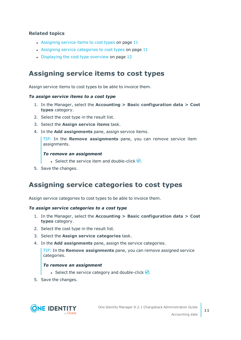#### **Related topics**

- [Assigning](#page-10-0) service items to cost types on page  $11$
- Assigning service [categories](#page-10-1) to cost types on page  $11$
- [Displaying](#page-11-0) the cost type overview on page 12

### <span id="page-10-0"></span>**Assigning service items to cost types**

Assign service items to cost types to be able to invoice them.

#### *To assign service items to a cost type*

- 1. In the Manager, select the **Accounting > Basic configuration data > Cost types** category.
- 2. Select the cost type in the result list.
- 3. Select the **Assign service items** task.
- 4. In the **Add assignments** pane, assign service items.

TIP: In the **Remove assignments** pane, you can remove service item assignments.

#### *To remove an assignment*

- **Select the service item and double-click**  $\odot$ **.**
- <span id="page-10-1"></span>5. Save the changes.

### **Assigning service categories to cost types**

Assign service categories to cost types to be able to invoice them.

#### *To assign service categories to a cost type*

- 1. In the Manager, select the **Accounting > Basic configuration data > Cost types** category.
- 2. Select the cost type in the result list.
- 3. Select the **Assign service categories** task.
- 4. In the **Add assignments** pane, assign the service categories.

TIP: In the **Remove assignments** pane, you can remove assigned service categories.

#### *To remove an assignment*

- **Select the service category and double-click**  $\odot$ **.**
- 5. Save the changes.

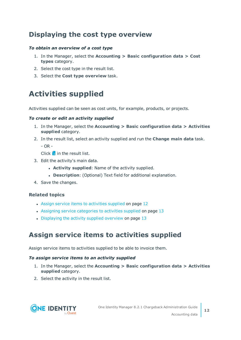### <span id="page-11-0"></span>**Displaying the cost type overview**

#### *To obtain an overview of a cost type*

- 1. In the Manager, select the **Accounting > Basic configuration data > Cost types** category.
- 2. Select the cost type in the result list.
- 3. Select the **Cost type overview** task.

# <span id="page-11-1"></span>**Activities supplied**

Activities supplied can be seen as cost units, for example, products, or projects.

#### *To create or edit an activity supplied*

- 1. In the Manager, select the **Accounting > Basic configuration data > Activities supplied** category.
- 2. In the result list, select an activity supplied and run the **Change main data** task.

 $-$  OR  $-$ 

Click  $\frac{1}{x}$  in the result list.

- 3. Edit the activity's main data.
	- **. Activity supplied**: Name of the activity supplied.
	- **.** Description: (Optional) Text field for additional explanation.
- 4. Save the changes.

#### **Related topics**

- Assign service items to [activities](#page-11-2) supplied on page 12
- Assigning service [categories](#page-12-0) to activities supplied on page 13
- [Displaying](#page-12-1) the activity supplied overview on page  $13$

### <span id="page-11-2"></span>**Assign service items to activities supplied**

Assign service items to activities supplied to be able to invoice them.

#### *To assign service items to an activity supplied*

- 1. In the Manager, select the **Accounting > Basic configuration data > Activities supplied** category.
- 2. Select the activity in the result list.

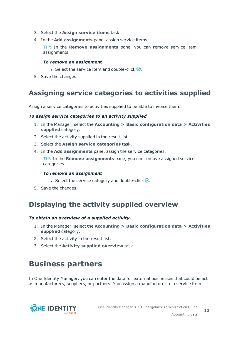- 3. Select the **Assign service items** task.
- 4. In the **Add assignments** pane, assign service items.

TIP: In the **Remove assignments** pane, you can remove service item assignments.

#### *To remove an assignment*

- **Select the service item and double-click**  $\odot$ **.**
- <span id="page-12-0"></span>5. Save the changes.

### **Assigning service categories to activities supplied**

Assign a service categories to activities supplied to be able to invoice them.

#### *To assign service categories to an activity supplied*

- 1. In the Manager, select the **Accounting > Basic configuration data > Activities supplied** category.
- 2. Select the activity supplied in the result list.
- 3. Select the **Assign service categories** task.
- 4. In the **Add assignments** pane, assign the service categories.

TIP: In the **Remove assignments** pane, you can remove assigned service categories.

#### *To remove an assignment*

- **Select the service category and double-click**  $\bigcirc$ **.**
- <span id="page-12-1"></span>5. Save the changes.

### **Displaying the activity supplied overview**

#### *To obtain an overview of a supplied activity.*

- 1. In the Manager, select the **Accounting > Basic configuration data > Activities supplied** category.
- 2. Select the activity in the result list.
- <span id="page-12-2"></span>3. Select the **Activity supplied overview** task.

# **Business partners**

In One Identity Manager, you can enter the data for external businesses that could be act as manufacturers, suppliers, or partners. You assign a manufacturer to a service item.

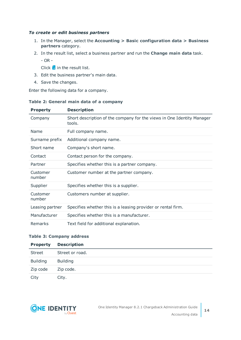#### *To create or edit business partners*

- 1. In the Manager, select the **Accounting > Basic configuration data > Business partners** category.
- 2. In the result list, select a business partner and run the **Change main data** task.
	- OR -

Click  $\mathbf{t}$  in the result list.

- 3. Edit the business partner's main data.
- 4. Save the changes.

Enter the following data for a company.

#### **Table 2: General main data of a company**

| <b>Property</b>    | <b>Description</b>                                                               |
|--------------------|----------------------------------------------------------------------------------|
| Company            | Short description of the company for the views in One Identity Manager<br>tools. |
| Name               | Full company name.                                                               |
| Surname prefix     | Additional company name.                                                         |
| Short name         | Company's short name.                                                            |
| Contact            | Contact person for the company.                                                  |
| Partner            | Specifies whether this is a partner company.                                     |
| Customer<br>number | Customer number at the partner company.                                          |
| Supplier           | Specifies whether this is a supplier.                                            |
| Customer<br>number | Customers number at supplier.                                                    |
| Leasing partner    | Specifies whether this is a leasing provider or rental firm.                     |
| Manufacturer       | Specifies whether this is a manufacturer.                                        |
| Remarks            | Text field for additional explanation.                                           |

#### **Table 3: Company address**

| <b>Property</b> | <b>Description</b> |
|-----------------|--------------------|
| Street          | Street or road.    |
| <b>Building</b> | <b>Building</b>    |
| Zip code        | Zip code.          |
| City            | City.              |

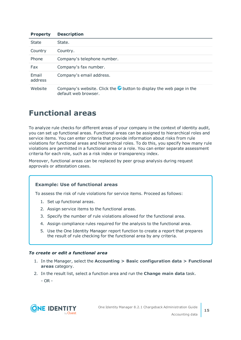| <b>Property</b>  | <b>Description</b>                                                                                   |
|------------------|------------------------------------------------------------------------------------------------------|
| <b>State</b>     | State.                                                                                               |
| Country          | Country.                                                                                             |
| Phone            | Company's telephone number.                                                                          |
| Fax              | Company's fax number.                                                                                |
| Email<br>address | Company's email address.                                                                             |
| Website          | Company's website. Click the $\bullet$ button to display the web page in the<br>default web browser. |

# <span id="page-14-0"></span>**Functional areas**

To analyze rule checks for different areas of your company in the context of identity audit, you can set up functional areas. Functional areas can be assigned to hierarchical roles and service items. You can enter criteria that provide information about risks from rule violations for functional areas and hierarchical roles. To do this, you specify how many rule violations are permitted in a functional area or a role. You can enter separate assessment criteria for each role, such as a risk index or transparency index.

Moreover, functional areas can be replaced by peer group analysis during request approvals or attestation cases.

#### **Example: Use of functional areas**

To assess the risk of rule violations for service items. Proceed as follows:

- 1. Set up functional areas.
- 2. Assign service items to the functional areas.
- 3. Specify the number of rule violations allowed for the functional area.
- 4. Assign compliance rules required for the analysis to the functional area.
- 5. Use the One Identity Manager report function to create a report that prepares the result of rule checking for the functional area by any criteria.

#### *To create or edit a functional area*

- 1. In the Manager, select the **Accounting > Basic configuration data > Functional areas** category.
- 2. In the result list, select a function area and run the **Change main data** task.

- OR -

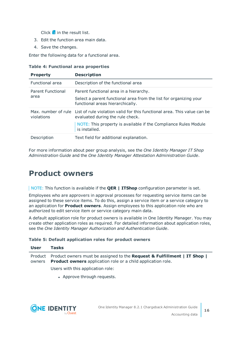Click  $\mathbf{r}$  in the result list.

- 3. Edit the function area main data.
- 4. Save the changes.

Enter the following data for a functional area.

| <b>Table 4: Functional area properties</b> |  |  |  |  |  |
|--------------------------------------------|--|--|--|--|--|
|--------------------------------------------|--|--|--|--|--|

| <b>Property</b>          | <b>Description</b>                                                                                                               |
|--------------------------|----------------------------------------------------------------------------------------------------------------------------------|
| <b>Functional area</b>   | Description of the functional area                                                                                               |
| <b>Parent Functional</b> | Parent functional area in a hierarchy.                                                                                           |
| area                     | Select a parent functional area from the list for organizing your<br>functional areas hierarchically.                            |
| violations               | Max, number of rule List of rule violation valid for this functional area. This value can be<br>evaluated during the rule check. |
|                          | NOTE: This property is available if the Compliance Rules Module<br>is installed.                                                 |
| Description              | Text field for additional explanation.                                                                                           |

For more information about peer group analysis, see the *One Identity Manager IT Shop Administration Guide* and the *One Identity Manager Attestation Administration Guide*.

### <span id="page-15-0"></span>**Product owners**

NOTE: This function is available if the **QER | ITShop** configuration parameter is set.

Employees who are approvers in approval processes for requesting service items can be assigned to these service items. To do this, assign a service item or a service category to an application for **Product owners**. Assign employees to this application role who are authorized to edit service item or service category main data.

A default application role for product owners is available in One Identity Manager. You may create other application roles as required. For detailed information about application roles, see the *One Identity Manager Authorization and Authentication Guide*.

#### **Table 5: Default application roles for product owners**

| User | <b>Tasks</b>                                                                                                                                                   |
|------|----------------------------------------------------------------------------------------------------------------------------------------------------------------|
|      | Product Product owners must be assigned to the Request & Fulfillment   IT Shop  <br>owners <b>Product owners</b> application role or a child application role. |
|      | Users with this application role:                                                                                                                              |

• Approve through requests.

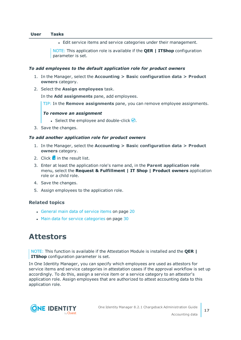#### **User Tasks**

<sup>l</sup> Edit service items and service categories under their management.

NOTE: This application role is available if the **QER | ITShop** configuration parameter is set.

#### *To add employees to the default application role for product owners*

- 1. In the Manager, select the **Accounting > Basic configuration data > Product owners** category.
- 2. Select the **Assign employees** task.

In the **Add assignments** pane, add employees.

TIP: In the **Remove assignments** pane, you can remove employee assignments.

#### *To remove an assignment*

- Select the employee and double-click  $\bigcirc$ .
- 3. Save the changes.

#### *To add another application role for product owners*

- 1. In the Manager, select the **Accounting > Basic configuration data > Product owners** category.
- 2. Click  $\mathbf{r}$  in the result list.
- 3. Enter at least the application role's name and, in the **Parent application role** menu, select the **Request & Fulfillment | IT Shop | Product owners** application role or a child role.
- 4. Save the changes.
- 5. Assign employees to the application role.

#### **Related topics**

- [General](#page-19-0) main data of service items on page 20
- Main data for service [categories](#page-29-0) on page 30

### <span id="page-16-0"></span>**Attestors**

NOTE: This function is available if the Attestation Module is installed and the **QER | ITShop** configuration parameter is set.

In One Identity Manager, you can specify which employees are used as attestors for service items and service categories in attestation cases if the approval workflow is set up accordingly. To do this, assign a service item or a service category to an attestor's application role. Assign employees that are authorized to attest accounting data to this application role.

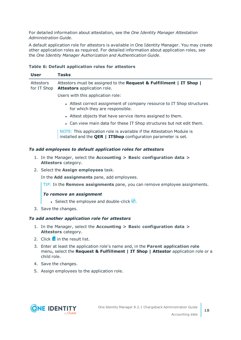For detailed information about attestation, see the *One Identity Manager Attestation Administration Guide*.

A default application role for attestors is available in One Identity Manager. You may create other application roles as required. For detailed information about application roles, see the *One Identity Manager Authorization and Authentication Guide*.

#### **Table 6: Default application roles for attestors**

| User                     | Tasks                                                                                                                                          |
|--------------------------|------------------------------------------------------------------------------------------------------------------------------------------------|
| Attestors<br>for IT Shop | Attestors must be assigned to the Request & Fulfillment   IT Shop  <br><b>Attestors</b> application role.                                      |
|                          | Users with this application role:                                                                                                              |
|                          | • Attest correct assignment of company resource to IT Shop structures<br>for which they are responsible.                                       |
|                          | • Attest objects that have service items assigned to them.                                                                                     |
|                          | . Can view main data for these IT Shop structures but not edit them.                                                                           |
|                          | NOTE: This application role is available if the Attestation Module is<br>installed and the <b>QER   ITShop</b> configuration parameter is set. |
|                          | To add employees to default application roles for attestors                                                                                    |
|                          | 1. In the Manager, select the Accounting $>$ Basic configuration data $>$                                                                      |

**Attestors** category. 2. Select the **Assign employees** task.

In the **Add assignments** pane, add employees.

TIP: In the **Remove assignments** pane, you can remove employee assignments.

#### *To remove an assignment*

- Select the employee and double-click  $\bigcirc$ .
- 3. Save the changes.

#### *To add another application role for attestors*

- 1. In the Manager, select the **Accounting > Basic configuration data > Attestors** category.
- 2. Click  $\mathbf{r}$  in the result list.
- 3. Enter at least the application role's name and, in the **Parent application role** menu, select the **Request & Fulfillment | IT Shop | Attestor** application role or a child role.
- 4. Save the changes.
- 5. Assign employees to the application role.

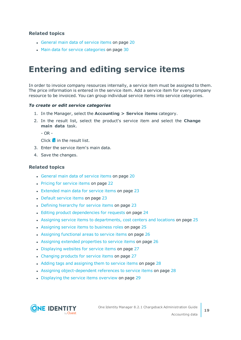#### **Related topics**

- [General](#page-19-0) main data of service items on page 20
- Main data for service [categories](#page-29-0) on page 30

# <span id="page-18-0"></span>**Entering and editing service items**

In order to invoice company resources internally, a service item must be assigned to them. The price information is entered in the service item. Add a service item for every company resource to be invoiced. You can group individual service items into service categories.

#### *To create or edit service categories*

- 1. In the Manager, select the **Accounting > Service items** category.
- 2. In the result list, select the product's service item and select the **Change main data** task.

 $-$  OR  $-$ 

 $Click \frac{1}{4}$  in the result list.

- 3. Enter the service item's main data.
- 4. Save the changes.

#### **Related topics**

- [General](#page-19-0) main data of service items on page 20
- Pricing for [service](#page-21-0) items on page 22
- [Extended](#page-22-0) main data for service items on page 23
- [Default](#page-22-1) service items on page 23
- Defining [hierarchy](#page-22-2) for service items on page 23
- Editing product [dependencies](#page-23-0) for requests on page 24
- . Assigning service items to [departments,](#page-24-0) cost centers and locations on page 25
- [Assigning](#page-24-1) service items to business roles on page 25
- Assigning [functional](#page-25-0) areas to service items on page 26
- Assigning extended [properties](#page-25-1) to service items on page 26
- [Displaying](#page-26-0) websites for service items on page 27
- [Changing](#page-26-1) products for service items on page 27
- Adding tags and [assigning](#page-27-0) them to service items on page 28
- Assigning [object-dependent](#page-27-1) references to service items on page 28
- [Displaying](#page-28-0) the service items overview on page 29

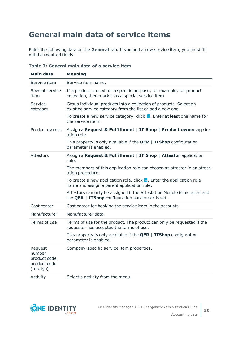# <span id="page-19-0"></span>**General main data of service items**

Enter the following data on the **General** tab. If you add a new service item, you must fill out the required fields.

| <b>Main data</b>                                                 | <b>Meaning</b>                                                                                                                       |
|------------------------------------------------------------------|--------------------------------------------------------------------------------------------------------------------------------------|
| Service item                                                     | Service item name.                                                                                                                   |
| Special service<br>item                                          | If a product is used for a specific purpose, for example, for product<br>collection, then mark it as a special service item.         |
| Service<br>category                                              | Group individual products into a collection of products. Select an<br>existing service category from the list or add a new one.      |
|                                                                  | To create a new service category, click $\mathbf{L}$ . Enter at least one name for<br>the service item.                              |
| Product owners                                                   | Assign a Request & Fulfillment   IT Shop   Product owner applic-<br>ation role.                                                      |
|                                                                  | This property is only available if the <b>QER   ITShop</b> configuration<br>parameter is enabled.                                    |
| <b>Attestors</b>                                                 | Assign a Request & Fulfillment   IT Shop   Attestor application<br>role.                                                             |
|                                                                  | The members of this application role can chosen as attestor in an attest-<br>ation procedure.                                        |
|                                                                  | To create a new application role, click $\frac{1}{x}$ . Enter the application role<br>name and assign a parent application role.     |
|                                                                  | Attestors can only be assigned if the Attestation Module is installed and<br>the <b>QER</b>   ITShop configuration parameter is set. |
| Cost center                                                      | Cost center for booking the service item in the accounts.                                                                            |
| Manufacturer                                                     | Manufacturer data.                                                                                                                   |
| Terms of use                                                     | Terms of use for the product. The product can only be requested if the<br>requester has accepted the terms of use.                   |
|                                                                  | This property is only available if the $QER \mid TTShop$ configuration<br>parameter is enabled.                                      |
| Request<br>number,<br>product code,<br>product code<br>(foreign) | Company-specific service item properties.                                                                                            |
| Activity                                                         | Select a activity from the menu.                                                                                                     |

**Table 7: General main data of a service item**

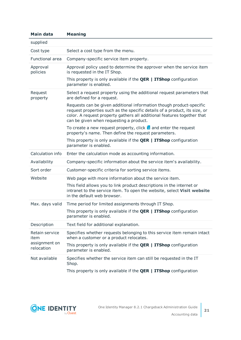| Main data                   | <b>Meaning</b>                                                                                                                                                                                                                                                           |
|-----------------------------|--------------------------------------------------------------------------------------------------------------------------------------------------------------------------------------------------------------------------------------------------------------------------|
| supplied                    |                                                                                                                                                                                                                                                                          |
| Cost type                   | Select a cost type from the menu.                                                                                                                                                                                                                                        |
| <b>Functional area</b>      | Company-specific service item property.                                                                                                                                                                                                                                  |
| Approval<br>policies        | Approval policy used to determine the approver when the service item<br>is requested in the IT Shop.                                                                                                                                                                     |
|                             | This property is only available if the <b>QER   ITShop</b> configuration<br>parameter is enabled.                                                                                                                                                                        |
| Request<br>property         | Select a request property using the additional request parameters that<br>are defined for a request.                                                                                                                                                                     |
|                             | Requests can be given additional information though product-specific<br>request properties such as the specific details of a product, its size, or<br>color. A request property gathers all additional features together that<br>can be given when requesting a product. |
|                             | To create a new request property, click $\frac{1}{2}$ and enter the request<br>property's name. Then define the request parameters.                                                                                                                                      |
|                             | This property is only available if the <b>QER   ITShop</b> configuration<br>parameter is enabled.                                                                                                                                                                        |
| Calculation info            | Enter the calculation mode as accounting information.                                                                                                                                                                                                                    |
| Availability                | Company-specific information about the service item's availability.                                                                                                                                                                                                      |
| Sort order                  | Customer-specific criteria for sorting service items.                                                                                                                                                                                                                    |
| Website                     | Web page with more information about the service item.                                                                                                                                                                                                                   |
|                             | This field allows you to link product descriptions in the internet or<br>intranet to the service item. To open the website, select Visit website<br>in the default web browser.                                                                                          |
| Max. days valid             | Time period for limited assignments through IT Shop.                                                                                                                                                                                                                     |
|                             | This property is only available if the <b>QER   ITShop</b> configuration<br>parameter is enabled.                                                                                                                                                                        |
| Description                 | Text field for additional explanation.                                                                                                                                                                                                                                   |
| Retain service<br>item      | Specifies whether requests belonging to this service item remain intact<br>when a customer or a product relocates.                                                                                                                                                       |
| assignment on<br>relocation | This property is only available if the $QER \mid TTShop$ configuration<br>parameter is enabled.                                                                                                                                                                          |
| Not available               | Specifies whether the service item can still be requested in the IT<br>Shop.                                                                                                                                                                                             |
|                             | This property is only available if the <b>QER   ITShop</b> configuration                                                                                                                                                                                                 |

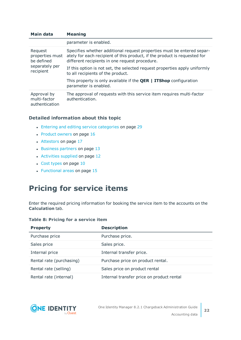| Main data                                     | <b>Meaning</b>                                                                                                                                                                                        |
|-----------------------------------------------|-------------------------------------------------------------------------------------------------------------------------------------------------------------------------------------------------------|
|                                               | parameter is enabled.                                                                                                                                                                                 |
| Request<br>properties must<br>be defined      | Specifies whether additional request properties must be entered separ-<br>ately for each recipient of this product, if the product is requested for<br>different recipients in one request procedure. |
| separately per<br>recipient                   | If this option is not set, the selected request properties apply uniformly<br>to all recipients of the product.                                                                                       |
|                                               | This property is only available if the $QER \mid TTShop$ configuration<br>parameter is enabled.                                                                                                       |
| Approval by<br>multi-factor<br>authentication | The approval of requests with this service item requires multi-factor<br>authentication.                                                                                                              |

#### **Detailed information about this topic**

- Entering and editing service [categories](#page-28-1) on page 29
- [Product](#page-15-0) owners on page 16
- [Attestors](#page-16-0) on page 17
- $\cdot$  [Business](#page-12-2) partners on page 13
- [Activities](#page-11-1) supplied on page 12
- $\cdot$  Cost [types](#page-9-0) on page 10
- [Functional](#page-14-0) areas on page 15

# <span id="page-21-0"></span>**Pricing for service items**

Enter the required pricing information for booking the service item to the accounts on the **Calculation** tab.

|  |  | Table 8: Pricing for a service item |  |
|--|--|-------------------------------------|--|
|  |  |                                     |  |

| <b>Property</b>          | <b>Description</b>                        |  |  |
|--------------------------|-------------------------------------------|--|--|
| Purchase price           | Purchase price.                           |  |  |
| Sales price              | Sales price.                              |  |  |
| Internal price           | Internal transfer price.                  |  |  |
| Rental rate (purchasing) | Purchase price on product rental.         |  |  |
| Rental rate (selling)    | Sales price on product rental             |  |  |
| Rental rate (internal)   | Internal transfer price on product rental |  |  |

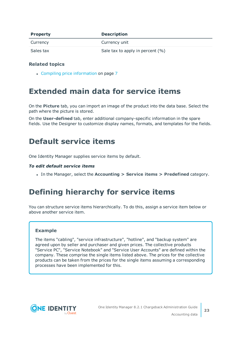| <b>Property</b> | <b>Description</b>               |
|-----------------|----------------------------------|
| Currency        | Currency unit                    |
| Sales tax       | Sale tax to apply in percent (%) |

#### **Related topics**

• Compiling price [information](#page-6-0) on page 7

# <span id="page-22-0"></span>**Extended main data for service items**

On the **Picture** tab, you can import an image of the product into the data base. Select the path where the picture is stored.

On the **User-defined** tab, enter additional company-specific information in the spare fields. Use the Designer to customize display names, formats, and templates for the fields.

### <span id="page-22-1"></span>**Default service items**

One Identity Manager supplies service items by default.

#### *To edit default service items*

<sup>l</sup> In the Manager, select the **Accounting > Service items > Predefined** category.

# <span id="page-22-2"></span>**Defining hierarchy for service items**

You can structure service items hierarchically. To do this, assign a service item below or above another service item.

#### **Example**

The items "cabling", "service infrastructure", "hotline", and "backup system" are agreed upon by seller and purchaser and given prices. The collective products "Service PC", "Service Notebook" and "Service User Accounts" are defined within the company. These comprise the single items listed above. The prices for the collective products can be taken from the prices for the single items assuming a corresponding processes have been implemented for this.

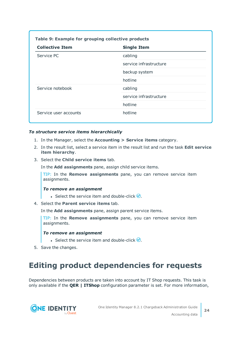| <b>Collective Item</b> | <b>Single Item</b>     |
|------------------------|------------------------|
| Service PC             | cabling                |
|                        | service infrastructure |
|                        | backup system          |
|                        | hotline                |
| Service notebook       | cabling                |
|                        | service infrastructure |
|                        | hotline                |
| Service user accounts  | hotline                |

#### *To structure service items hierarchically*

- 1. In the Manager, select the **Accounting > Service items** category.
- 2. In the result list, select a service item in the result list and run the task **Edit service item hierarchy**.
- 3. Select the **Child service items** tab.

In the **Add assignments** pane, assign child service items.

TIP: In the **Remove assignments** pane, you can remove service item assignments.

#### *To remove an assignment*

- **Select the service item and double-click .**
- 4. Select the **Parent service items** tab.

In the **Add assignments** pane, assign parent service items.

TIP: In the **Remove assignments** pane, you can remove service item assignments.

#### *To remove an assignment*

- **Select the service item and double-click .**
- <span id="page-23-0"></span>5. Save the changes.

### **Editing product dependencies for requests**

Dependencies between products are taken into account by IT Shop requests. This task is only available if the **QER | ITShop** configuration parameter is set. For more information,

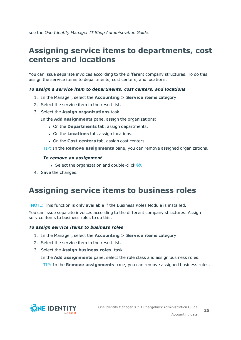<span id="page-24-0"></span>see the *One Identity Manager IT Shop Administration Guide*.

# **Assigning service items to departments, cost centers and locations**

You can issue separate invoices according to the different company structures. To do this assign the service items to departments, cost centers, and locations.

#### *To assign a service item to departments, cost centers, and locations*

- 1. In the Manager, select the **Accounting > Service items** category.
- 2. Select the service item in the result list.
- 3. Select the **Assign organizations** task.
	- In the **Add assignments** pane, assign the organizations:
		- **.** On the **Departments** tab, assign departments.
		- **.** On the **Locations** tab, assign locations.
		- **.** On the **Cost centers** tab, assign cost centers.

TIP: In the **Remove assignments** pane, you can remove assigned organizations.

#### *To remove an assignment*

- **Select the organization and double-click**  $\bigcirc$ **.**
- <span id="page-24-1"></span>4. Save the changes.

# **Assigning service items to business roles**

NOTE: This function is only available if the Business Roles Module is installed.

You can issue separate invoices according to the different company structures. Assign service items to business roles to do this.

#### *To assign service items to business roles*

- 1. In the Manager, select the **Accounting > Service items** category.
- 2. Select the service item in the result list.
- 3. Select the **Assign business roles** task.

In the **Add assignments** pane, select the role class and assign business roles.

TIP: In the **Remove assignments** pane, you can remove assigned business roles.

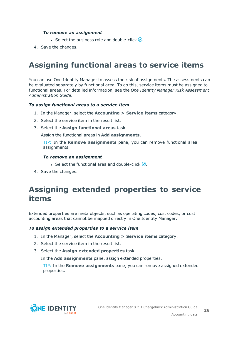#### *To remove an assignment*

- **Select the business role and double-click**  $\odot$ **.**
- <span id="page-25-0"></span>4. Save the changes.

# **Assigning functional areas to service items**

You can use One Identity Manager to assess the risk of assignments. The assessments can be evaluated separately by functional area. To do this, service items must be assigned to functional areas. For detailed information, see the *One Identity Manager Risk Assessment Administration Guide*.

#### *To assign functional areas to a service item*

- 1. In the Manager, select the **Accounting > Service items** category.
- 2. Select the service item in the result list.
- 3. Select the **Assign functional areas** task.

Assign the functional areas in **Add assignments**.

TIP: In the **Remove assignments** pane, you can remove functional area assignments.

#### *To remove an assignment*

- **Select the functional area and double-click**  $\odot$ **.**
- <span id="page-25-1"></span>4. Save the changes.

# **Assigning extended properties to service items**

Extended properties are meta objects, such as operating codes, cost codes, or cost accounting areas that cannot be mapped directly in One Identity Manager.

#### *To assign extended properties to a service item*

- 1. In the Manager, select the **Accounting > Service items** category.
- 2. Select the service item in the result list.
- 3. Select the **Assign extended properties** task.

In the **Add assignments** pane, assign extended properties.

TIP: In the **Remove assignments** pane, you can remove assigned extended properties.



**26**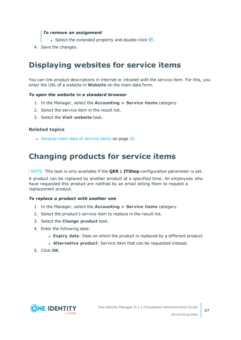#### *To remove an assignment*

- **Select the extended property and double-click**  $\odot$ **.**
- <span id="page-26-0"></span>4. Save the changes.

# **Displaying websites for service items**

You can link product descriptions in internet or intranet with the service item. For this, you enter the URL of a website in **Website** on the main data form.

#### *To open the website in a standard browser*

- 1. In the Manager, select the **Accounting > Service items** category.
- 2. Select the service item in the result list.
- 3. Select the **Visit website** task.

#### **Related topics**

• [General](#page-19-0) main data of service items on page 20

# <span id="page-26-1"></span>**Changing products for service items**

NOTE: This task is only available if the **QER | ITShop** configuration parameter is set.

A product can be replaced by another product at a specified time. All employees who have requested this product are notified by an email telling them to request a replacement product.

#### *To replace a product with another one*

- 1. In the Manager, select the **Accounting > Service items** category.
- 2. Select the product's service item to replace in the result list.
- 3. Select the **Change product** task.
- 4. Enter the following data:
	- **Expiry date**: Date on which the product is replaced by a different product.
	- **. Alternative product**: Service item that can be requested instead.
- 5. Click **OK**.

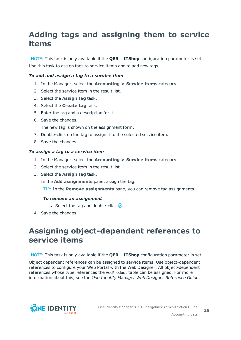# <span id="page-27-0"></span>**Adding tags and assigning them to service items**

NOTE: This task is only available if the **QER | ITShop** configuration parameter is set. Use this task to assign tags to service items and to add new tags.

#### *To add and assign a tag to a service item*

- 1. In the Manager, select the **Accounting > Service items** category.
- 2. Select the service item in the result list.
- 3. Select the **Assign tag** task.
- 4. Select the **Create tag** task.
- 5. Enter the tag and a description for it.
- 6. Save the changes.

The new tag is shown on the assignment form.

- 7. Double-click on the tag to assign it to the selected service item.
- 8. Save the changes.

#### *To assign a tag to a service item*

- 1. In the Manager, select the **Accounting > Service items** category.
- 2. Select the service item in the result list.
- 3. Select the **Assign tag** task.

In the **Add assignments** pane, assign the tag.

TIP: In the **Remove assignments** pane, you can remove tag assignments.

#### *To remove an assignment*

- **Select the tag and double-click**  $\odot$ **.**
- <span id="page-27-1"></span>4. Save the changes.

### **Assigning object-dependent references to service items**

NOTE: This task is only available if the **QER | ITShop** configuration parameter is set.

Object dependent references can be assigned to service items. Use object-dependent references to configure your Web Portal with the Web Designer. All object-dependent references whose type references the AccProduct table can be assigned. For more information about this, see the *One Identity Manager Web Designer Reference Guide*.

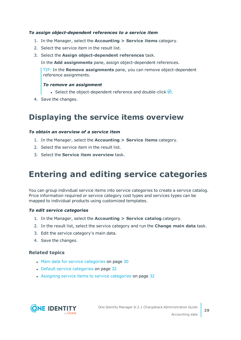#### *To assign object-dependent references to a service item*

- 1. In the Manager, select the **Accounting > Service items** category.
- 2. Select the service item in the result list.
- 3. Select the **Assign object-dependent references** task.

In the **Add assignments** pane, assign object-dependent references.

TIP: In the **Remove assignments** pane, you can remove object-dependent reference assignments.

#### *To remove an assignment*

- Select the object-dependent reference and double-click  $\bigcirc$ .
- <span id="page-28-0"></span>4. Save the changes.

### **Displaying the service items overview**

#### *To obtain an overview of a service item*

- 1. In the Manager, select the **Accounting > Service items** category.
- 2. Select the service item in the result list.
- <span id="page-28-1"></span>3. Select the **Service item overview** task.

# **Entering and editing service categories**

You can group individual service items into service categories to create a service catalog. Price information required or service category cost types and services types can be mapped to individual products using customized templates.

#### *To edit service categories*

- 1. In the Manager, select the **Accounting > Service catalog** category.
- 2. In the result list, select the service category and run the **Change main data** task.
- 3. Edit the service category's main data.
- 4. Save the changes.

#### **Related topics**

- Main data for service [categories](#page-29-0) on page 30
- Default service [categories](#page-31-0) on page 32
- Assigning service items to service [categories](#page-31-1) on page 32

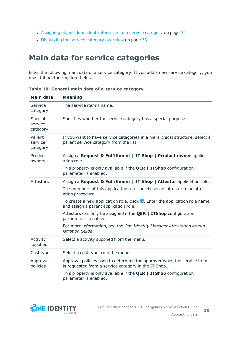- Assigning [object-dependent](#page-31-2) references to a service category on page 32
- [Displaying](#page-32-0) the service category overview on page 33

# <span id="page-29-0"></span>**Main data for service categories**

Enter the following main data of a service category. If you add a new service category, you must fill out the required fields.

| Main data                      | <b>Meaning</b>                                                                                                                  |
|--------------------------------|---------------------------------------------------------------------------------------------------------------------------------|
| Service<br>category            | The service item's name.                                                                                                        |
| Special<br>service<br>category | Specifies whether the service category has a special purpose.                                                                   |
| Parent<br>service<br>category  | If you want to have service categories in a hierarchical structure, select a<br>parent service category from the list.          |
| Product<br>owners              | Assign a Request & Fulfillment   IT Shop   Product owner applic-<br>ation role.                                                 |
|                                | This property is only available if the $QER \mid TTShop$ configuration<br>parameter is enabled.                                 |
| <b>Attestors</b>               | Assign a Request & Fulfillment   IT Shop   Attestor application role.                                                           |
|                                | The members of this application role can chosen as attestor in an attest-<br>ation procedure.                                   |
|                                | To create a new application role, click $\mathbf{L}$ . Enter the application role name<br>and assign a parent application role. |
|                                | Attestors can only be assigned if the <b>QER   ITShop</b> configuration<br>parameter is enabled.                                |
|                                | For more information, see the One Identity Manager Attestation Admin-<br>istration Guide.                                       |
| Activity<br>supplied           | Select a activity supplied from the menu.                                                                                       |
| Cost type                      | Select a cost type from the menu.                                                                                               |
| Approval<br>policies           | Approval policies used to determine the approver when the service item<br>is requested from a service category in the IT Shop.  |
|                                | This property is only available if the $QER \mid ITShop$ configuration<br>parameter is enabled.                                 |

**Table 10: General main data of a service category**

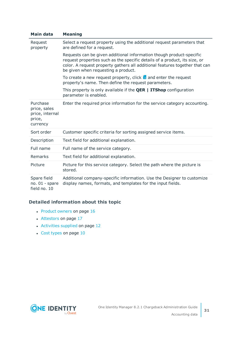| Main data                                                         | <b>Meaning</b>                                                                                                                                                                                                                                                           |
|-------------------------------------------------------------------|--------------------------------------------------------------------------------------------------------------------------------------------------------------------------------------------------------------------------------------------------------------------------|
| Request<br>property                                               | Select a request property using the additional request parameters that<br>are defined for a request.                                                                                                                                                                     |
|                                                                   | Requests can be given additional information though product-specific<br>request properties such as the specific details of a product, its size, or<br>color. A request property gathers all additional features together that can<br>be given when requesting a product. |
|                                                                   | To create a new request property, click $\frac{1}{1}$ and enter the request<br>property's name. Then define the request parameters.                                                                                                                                      |
|                                                                   | This property is only available if the $QER \mid TTShop$ configuration<br>parameter is enabled.                                                                                                                                                                          |
| Purchase<br>price, sales<br>price, internal<br>price,<br>currency | Enter the required price information for the service category accounting.                                                                                                                                                                                                |
| Sort order                                                        | Customer specific criteria for sorting assigned service items.                                                                                                                                                                                                           |
| Description                                                       | Text field for additional explanation.                                                                                                                                                                                                                                   |
| Full name                                                         | Full name of the service category.                                                                                                                                                                                                                                       |
| <b>Remarks</b>                                                    | Text field for additional explanation.                                                                                                                                                                                                                                   |
| Picture                                                           | Picture for this service category. Select the path where the picture is<br>stored.                                                                                                                                                                                       |
| Spare field<br>no. $01$ - spare                                   | Additional company-specific information. Use the Designer to customize<br>display names, formats, and templates for the input fields.                                                                                                                                    |

field no. 10

#### **Detailed information about this topic**

- [Product](#page-15-0) owners on page 16
- [Attestors](#page-16-0) on page 17
- [Activities](#page-11-1) supplied on page 12
- Cost [types](#page-9-0) on page 10

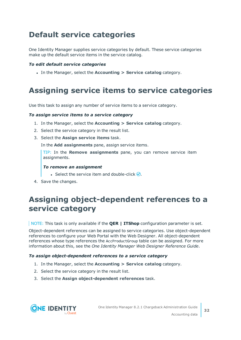# <span id="page-31-0"></span>**Default service categories**

One Identity Manager supplies service categories by default. These service categories make up the default service items in the service catalog.

#### *To edit default service categories*

<sup>l</sup> In the Manager, select the **Accounting > Service catalog** category.

# <span id="page-31-1"></span>**Assigning service items to service categories**

Use this task to assign any number of service items to a service category.

#### *To assign service items to a service category*

- 1. In the Manager, select the **Accounting > Service catalog** category.
- 2. Select the service category in the result list.
- 3. Select the **Assign service items** task.

In the **Add assignments** pane, assign service items.

TIP: In the **Remove assignments** pane, you can remove service item assignments.

#### *To remove an assignment*

- **Select the service item and double-click .**
- <span id="page-31-2"></span>4. Save the changes.

# **Assigning object-dependent references to a service category**

NOTE: This task is only available if the **QER | ITShop** configuration parameter is set.

Object-dependent references can be assigned to service categories. Use object-dependent references to configure your Web Portal with the Web Designer. All object-dependent references whose type references the AccProductGroup table can be assigned. For more information about this, see the *One Identity Manager Web Designer Reference Guide*.

#### *To assign object-dependent references to a service category*

- 1. In the Manager, select the **Accounting > Service catalog** category.
- 2. Select the service category in the result list.
- 3. Select the **Assign object-dependent references** task.

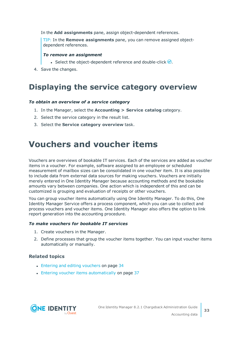In the **Add assignments** pane, assign object-dependent references.

TIP: In the **Remove assignments** pane, you can remove assigned objectdependent references.

#### *To remove an assignment*

- Select the object-dependent reference and double-click  $\bigcirc$ .
- <span id="page-32-0"></span>4. Save the changes.

### **Displaying the service category overview**

#### *To obtain an overview of a service category*

- 1. In the Manager, select the **Accounting > Service catalog** category.
- 2. Select the service category in the result list.
- <span id="page-32-1"></span>3. Select the **Service category overview** task.

# **Vouchers and voucher items**

Vouchers are overviews of bookable IT services. Each of the services are added as voucher items in a voucher. For example, software assigned to an employee or scheduled measurement of mailbox sizes can be consolidated in one voucher item. It is also possible to include data from external data sources for making vouchers. Vouchers are initially merely entered in One Identity Manager because accounting methods and the bookable amounts vary between companies. One action which is independent of this and can be customized is grouping and evaluation of receipts or other vouchers.

You can group voucher items automatically using One Identity Manager. To do this, One Identity Manager Service offers a process component, which you can use to collect and process vouchers and voucher items. One Identity Manager also offers the option to link report generation into the accounting procedure.

#### *To make vouchers for bookable IT services*

- 1. Create vouchers in the Manager.
- 2. Define processes that group the voucher items together. You can input voucher items automatically or manually.

#### **Related topics**

- Entering and editing [vouchers](#page-33-0) on page 34
- Entering voucher items [automatically](#page-36-1) on page 37

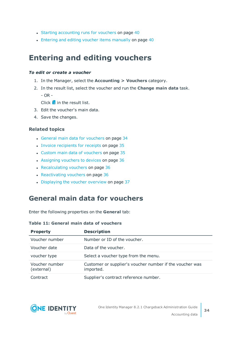- Starting [accounting](#page-39-0) runs for vouchers on page 40
- Entering and editing voucher items [manually](#page-39-1) on page 40

# <span id="page-33-0"></span>**Entering and editing vouchers**

#### *To edit or create a voucher*

- 1. In the Manager, select the **Accounting > Vouchers** category.
- 2. In the result list, select the voucher and run the **Change main data** task. - OR -

Click  $\mathbf{f}$  in the result list.

- 3. Edit the voucher's main data.
- 4. Save the changes.

#### **Related topics**

- General main data for [vouchers](#page-33-1) on page 34
- Invoice [recipients](#page-34-0) for receipts on page 35
- Custom main data of [vouchers](#page-34-1) on page 35
- [Assigning](#page-35-0) vouchers to devices on page 36
- [Recalculating](#page-35-1) vouchers on page 36
- $\cdot$  [Reactivating](#page-35-2) vouchers on page 36
- [Displaying](#page-36-0) the voucher overview on page 37

### <span id="page-33-1"></span>**General main data for vouchers**

Enter the following properties on the **General** tab:

#### **Table 11: General main data of vouchers**

| <b>Property</b>              | <b>Description</b>                                                    |
|------------------------------|-----------------------------------------------------------------------|
| Voucher number               | Number or ID of the voucher.                                          |
| Voucher date                 | Data of the voucher.                                                  |
| voucher type                 | Select a voucher type from the menu.                                  |
| Voucher number<br>(external) | Customer or supplier's voucher number if the voucher was<br>imported. |
| Contract                     | Supplier's contract reference number.                                 |

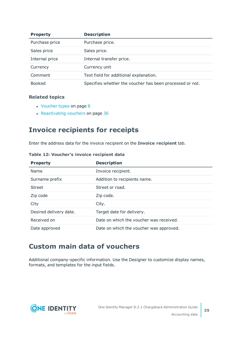| <b>Property</b> | <b>Description</b>                                       |
|-----------------|----------------------------------------------------------|
| Purchase price  | Purchase price.                                          |
| Sales price     | Sales price.                                             |
| Internal price  | Internal transfer price.                                 |
| Currency        | Currency unit                                            |
| Comment         | Text field for additional explanation.                   |
| <b>Booked</b>   | Specifies whether the voucher has been processed or not. |

#### **Related topics**

- $\cdot$  [Voucher](#page-7-0) types on page 8
- $\cdot$  [Reactivating](#page-35-2) vouchers on page 36

### <span id="page-34-0"></span>**Invoice recipients for receipts**

Enter the address data for the invoice recipient on the **Invoice recipient** tab.

**Table 12: Voucher's invoice recipient data**

| <b>Property</b>        | <b>Description</b>                      |  |  |
|------------------------|-----------------------------------------|--|--|
| Name                   | Invoice recipient.                      |  |  |
| Surname prefix         | Addition to recipients name.            |  |  |
| <b>Street</b>          | Street or road.                         |  |  |
| Zip code               | Zip code.                               |  |  |
| City                   | City.                                   |  |  |
| Desired delivery date. | Target date for delivery.               |  |  |
| Received on            | Date on which the voucher was received. |  |  |
| Date approved          | Date on which the voucher was approved. |  |  |

### <span id="page-34-1"></span>**Custom main data of vouchers**

Additional company-specific information. Use the Designer to customize display names, formats, and templates for the input fields.

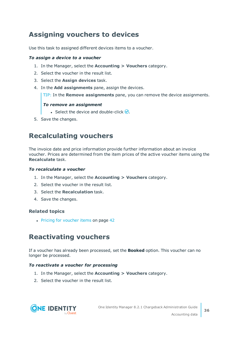### <span id="page-35-0"></span>**Assigning vouchers to devices**

Use this task to assigned different devices items to a voucher.

#### *To assign a device to a voucher*

- 1. In the Manager, select the **Accounting > Vouchers** category.
- 2. Select the voucher in the result list.
- 3. Select the **Assign devices** task.
- 4. In the **Add assignments** pane, assign the devices.

TIP: In the **Remove assignments** pane, you can remove the device assignments.

#### *To remove an assignment*

- **Select the device and double-click**  $\odot$ .
- <span id="page-35-1"></span>5. Save the changes.

### **Recalculating vouchers**

The invoice date and price information provide further information about an invoice voucher. Prices are determined from the item prices of the active voucher items using the **Recalculate** task.

#### *To recalculate a voucher*

- 1. In the Manager, select the **Accounting > Vouchers** category.
- 2. Select the voucher in the result list.
- 3. Select the **Recalculation** task.
- 4. Save the changes.

#### **Related topics**

• Pricing for [voucher](#page-41-0) items on page 42

### <span id="page-35-2"></span>**Reactivating vouchers**

If a voucher has already been processed, set the **Booked** option. This voucher can no longer be processed.

#### *To reactivate a voucher for processing*

- 1. In the Manager, select the **Accounting > Vouchers** category.
- 2. Select the voucher in the result list.

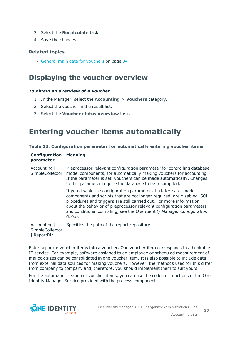- 3. Select the **Recalculate** task.
- 4. Save the changes.

#### **Related topics**

• General main data for [vouchers](#page-33-1) on page 34

### <span id="page-36-0"></span>**Displaying the voucher overview**

#### *To obtain an overview of a voucher*

**Configuration Meaning**

- 1. In the Manager, select the **Accounting > Vouchers** category.
- 2. Select the voucher in the result list.
- <span id="page-36-1"></span>3. Select the **Voucher status overview** task.

### **Entering voucher items automatically**

| parameter                                    |                                                                                                                                                                                                                                                                                                                                                                               |
|----------------------------------------------|-------------------------------------------------------------------------------------------------------------------------------------------------------------------------------------------------------------------------------------------------------------------------------------------------------------------------------------------------------------------------------|
| Accounting  <br>SimpleCollector              | Preprocessor relevant configuration parameter for controlling database<br>model components, for automatically making vouchers for accounting.<br>If the parameter is set, vouchers can be made automatically. Changes<br>to this parameter require the database to be recompiled.                                                                                             |
|                                              | If you disable the configuration parameter at a later date, model<br>components and scripts that are not longer required, are disabled. SQL<br>procedures and triggers are still carried out. For more information<br>about the behavior of preprocessor relevant configuration parameters<br>and conditional compiling, see the One Identity Manager Configuration<br>Guide. |
| Accounting  <br>SimpleCollector<br>ReportDir | Specifies the path of the report repository.                                                                                                                                                                                                                                                                                                                                  |

**Table 13: Configuration parameter for automatically entering voucher items**

Enter separate voucher items into a voucher. One voucher item corresponds to a bookable IT service. For example, software assigned to an employee or scheduled measurement of mailbox sizes can be consolidated in one voucher item. It is also possible to include data from external data sources for making vouchers. However, the methods used for this differ from company to company and, therefore, you should implement them to suit yours.

For the automatic creation of voucher items, you can use the collector functions of the One Identity Manager Service provided with the process component



**37**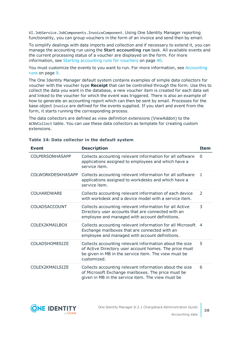VI.JobService.JobComponents.InvoiceComponent. Using One Identity Manager reporting functionality, you can group vouchers in the form of an invoice and send then by email.

To simplify dealings with data imports and collection and if necessary to extend it, you can manage the accounting run using the **Start accounting run** task. All available events and the current processing status of a voucher are displayed on the form. For [more](#page-39-0) [information,](#page-39-0) see Starting accounting runs for vouchers on page 40.

You must customize the events to you want to run. For more [information,](#page-8-1) see Accounting runs on [page](#page-8-1) 9.

The One Identity Manager default system contains examples of simple data collectors for voucher with the voucher type **Receipt** that can be controlled through the form. Use this to collect the data you want in the database, a new voucher item is created for each data set and linked to the voucher for which the event was triggered. There is also an example of how to generate an accounting report which can then be sent by email. Processes for the base object Invoice are defined for the events supplied. If you start and event from the form, it starts running the corresponding process.

The data collectors are defined as view definition extensions (ViewAddon) to the ACNVCollect table. You can use these data collectors as template for creating custom extensions.

| <b>Event</b>             | <b>Description</b>                                                                                                                                                                       | <b>Item</b>    |
|--------------------------|------------------------------------------------------------------------------------------------------------------------------------------------------------------------------------------|----------------|
| <b>COLPERSONHASAPP</b>   | Collects accounting relevant information for all software<br>applications assigned to employees and which have a<br>service item.                                                        | $\mathbf{0}$   |
| <b>COLWORKDESKHASAPP</b> | Collects accounting relevant information for all software<br>applications assigned to workdesks and which have a<br>service item.                                                        | 1              |
| COLHARDWARE              | Collects accounting relevant information of each device<br>with workdesk and a device model with a service item.                                                                         | $\mathcal{P}$  |
| COLADSACCOUNT            | Collects accounting relevant information for all Active<br>Directory user accounts that are connected with an<br>employee and managed with account definitions.                          | 3              |
| COLEX2KMAILBOX           | Collects accounting relevant information for all Microsoft<br>Exchange mailboxes that are connected with an<br>employee and managed with account definitions.                            | $\overline{4}$ |
| <b>COLADSHOMESIZE</b>    | Collects accounting relevant information about the size<br>of Active Directory user account homes. The price must<br>be given in MB in the service item. The view must be<br>customized. | 5              |
| COLEX2KMAILSIZE          | Collects accounting relevant information about the size<br>of Microsoft Exchange mailboxes. The price must be<br>given in MB in the service item. The view must be                       | 6              |

#### **Table 14: Data collector in the default system**

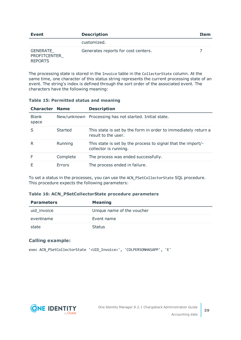| Event                                             | <b>Description</b>                  | Item |
|---------------------------------------------------|-------------------------------------|------|
|                                                   | customized.                         |      |
| GENERATE<br><b>PROFITCENTER</b><br><b>REPORTS</b> | Generates reports for cost centers. |      |

The processing state is stored in the Invoice table in the CollectorState column. At the same time, one character of this status string represents the current processing state of an event. The string's index is defined through the sort order of the associated event. The characters have the following meaning:

| <b>Character Name</b> |               | <b>Description</b>                                                                    |
|-----------------------|---------------|---------------------------------------------------------------------------------------|
| <b>Blank</b><br>space |               | New/unknown Processing has not started. Initial state.                                |
|                       | Started       | This state is set by the form in order to immediately return a<br>result to the user. |
| R                     | Running       | This state is set by the process to signal that the import/-<br>collector is running. |
|                       | Complete      | The process was ended successfully.                                                   |
|                       | <b>Frrors</b> | The process ended in failure.                                                         |

#### **Table 15: Permitted status and meaning**

To set a status in the processes, you can use the ACN\_PSetCollectorState SQL procedure. This procedure expects the following parameters:

#### **Table 16: ACN\_PSetCollectorState procedure parameters**

| <b>Parameters</b> | <b>Meaning</b>             |  |  |
|-------------------|----------------------------|--|--|
| uid invoice       | Unique name of the voucher |  |  |
| eventname         | Event name                 |  |  |
| state             | <b>Status</b>              |  |  |

#### **Calling example:**

exec ACN PSetCollectorState '<UID Invoice>', 'COLPERSONHASAPP', 'E'

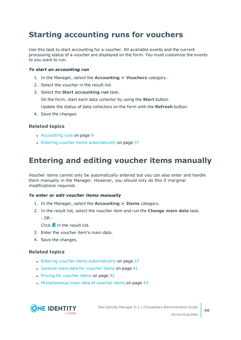# <span id="page-39-0"></span>**Starting accounting runs for vouchers**

Use this task to start accounting for a voucher. All available events and the current processing status of a voucher are displayed on the form. You must customize the events to you want to run.

#### *To start an accounting run*

- 1. In the Manager, select the **Accounting > Vouchers** category.
- 2. Select the voucher in the result list.
- 3. Select the **Start accounting run** task.

On the form, start each data collector by using the **Start** button.

Update the status of data collectors on the form with the **Refresh** button.

4. Save the changes.

#### **Related topics**

- $\cdot$  [Accounting](#page-8-1) runs on page 9
- Entering voucher items [automatically](#page-36-1) on page 37

# <span id="page-39-1"></span>**Entering and editing voucher items manually**

Voucher items cannot only be automatically entered but you can also enter and handle them manually in the Manager. However, you should only do this if marginal modifications required.

#### *To enter or edit voucher items manually*

- 1. In the Manager, select the **Accounting > Items** category.
- 2. In the result list, select the voucher item and run the **Change main data** task.
	- $-$  OR  $-$

 $Click$  in the result list.

- 3. Enter the voucher item's main data.
- 4. Save the changes.

#### **Related topics**

- Entering voucher items [automatically](#page-36-1) on page 37
- $\cdot$  General main data for [voucher](#page-40-0) items on page 41
- Pricing for [voucher](#page-41-0) items on page 42
- [Miscellaneous](#page-42-0) main data of voucher items on page 43

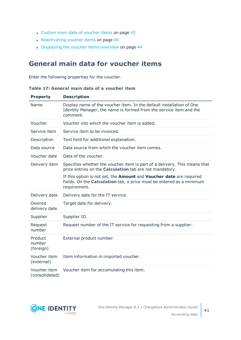- Custom main data of [voucher](#page-42-1) items on page 43
- [Reactivating](#page-43-0) voucher items on page 44
- [Displaying](#page-43-1) the voucher items overview on page 44

### <span id="page-40-0"></span>**General main data for voucher items**

Enter the following properties for the voucher.

**Table 17: General main data of a voucher item**

| <b>Property</b>                | <b>Description</b>                                                                                                                                                 |
|--------------------------------|--------------------------------------------------------------------------------------------------------------------------------------------------------------------|
| Name                           | Display name of the voucher item. In the default installation of One<br>Identity Manager, the name is formed from the service item and the<br>comment.             |
| Voucher                        | Voucher into which the voucher item is added.                                                                                                                      |
| Service item                   | Service item to be invoiced.                                                                                                                                       |
| Description                    | Text field for additional explanation.                                                                                                                             |
| Data source                    | Data source from which the voucher item comes.                                                                                                                     |
| Voucher date                   | Data of the voucher.                                                                                                                                               |
| Delivery item                  | Specifies whether the voucher item is part of a delivery. This means that<br>price entries on the <b>Calculation</b> tab are not mandatory.                        |
|                                | If this option is not set, the Amount and Voucher date are required<br>fields. On the <b>Calculation</b> tab, a price must be entered as a minimum<br>requirement. |
| Delivery date                  | Delivery date for the IT service.                                                                                                                                  |
| Desired<br>delivery date.      | Target date for delivery.                                                                                                                                          |
| Supplier                       | Supplier ID.                                                                                                                                                       |
| Request<br>number              | Request number of the IT service for requesting from a supplier.                                                                                                   |
| Product<br>number<br>(foreign) | External product number.                                                                                                                                           |
| Voucher item<br>(external)     | Item information in imported voucher.                                                                                                                              |
| Voucher item<br>(consolidated) | Voucher item for accumulating this item.                                                                                                                           |

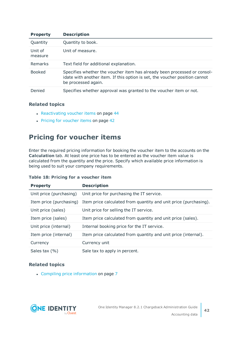| <b>Property</b>    | <b>Description</b>                                                                                                                                                             |
|--------------------|--------------------------------------------------------------------------------------------------------------------------------------------------------------------------------|
| Quantity           | Quantity to book.                                                                                                                                                              |
| Unit of<br>measure | Unit of measure.                                                                                                                                                               |
| Remarks            | Text field for additional explanation.                                                                                                                                         |
| <b>Booked</b>      | Specifies whether the voucher item has already been processed or consol-<br>idate with another item. If this option is set, the voucher position cannot<br>be processed again. |
| Denied             | Specifies whether approval was granted to the voucher item or not.                                                                                                             |

#### **Related topics**

- [Reactivating](#page-43-0) voucher items on page 44
- Pricing for [voucher](#page-41-0) items on page 42

### <span id="page-41-0"></span>**Pricing for voucher items**

Enter the required pricing information for booking the voucher item to the accounts on the **Calculation** tab. At least one price has to be entered as the voucher item value is calculated from the quantity and the price. Specify which available price information is being used to suit your company requirements.

|  |  | Table 18: Pricing for a voucher item |  |
|--|--|--------------------------------------|--|
|  |  |                                      |  |

| <b>Property</b>         | <b>Description</b>                                                                       |
|-------------------------|------------------------------------------------------------------------------------------|
| Unit price (purchasing) | Unit price for purchasing the IT service.                                                |
|                         | Item price (purchasing) Item price calculated from quantity and unit price (purchasing). |
| Unit price (sales)      | Unit price for selling the IT service.                                                   |
| Item price (sales)      | Item price calculated from quantity and unit price (sales).                              |
| Unit price (internal)   | Internal booking price for the IT service.                                               |
| Item price (internal)   | Item price calculated from quantity and unit price (internal).                           |
| Currency                | Currency unit                                                                            |
| Sales tax (%)           | Sale tax to apply in percent.                                                            |

#### **Related topics**

• Compiling price [information](#page-6-0) on page 7

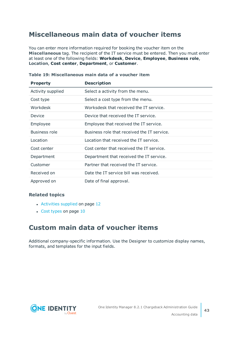### <span id="page-42-0"></span>**Miscellaneous main data of voucher items**

You can enter more information required for booking the voucher item on the **Miscellaneous** tag. The recipient of the IT service must be entered. Then you must enter at least one of the following fields: **Workdesk**, **Device**, **Employee**, **Business role**, **Location**, **Cost center**, **Department**, or **Customer**.

| <b>Property</b>   | <b>Description</b>                          |
|-------------------|---------------------------------------------|
| Activity supplied | Select a activity from the menu.            |
| Cost type         | Select a cost type from the menu.           |
| Workdesk          | Worksdesk that received the IT service.     |
| Device            | Device that received the IT service.        |
| Employee          | Employee that received the IT service.      |
| Business role     | Business role that received the IT service. |
| Location          | Location that received the IT service.      |
| Cost center       | Cost center that received the IT service.   |
| Department        | Department that received the IT service.    |
| Customer          | Partner that received the IT service.       |
| Received on       | Date the IT service bill was received.      |
| Approved on       | Date of final approval.                     |

**Table 19: Miscellaneous main data of a voucher item**

#### **Related topics**

- $\cdot$  [Activities](#page-11-1) supplied on page 12
- $\cdot$  Cost [types](#page-9-0) on page 10

### <span id="page-42-1"></span>**Custom main data of voucher items**

Additional company-specific information. Use the Designer to customize display names, formats, and templates for the input fields.

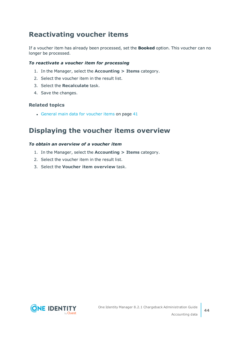### <span id="page-43-0"></span>**Reactivating voucher items**

If a voucher item has already been processed, set the **Booked** option. This voucher can no longer be processed.

#### *To reactivate a voucher item for processing*

- 1. In the Manager, select the **Accounting > Items** category.
- 2. Select the voucher item in the result list.
- 3. Select the **Recalculate** task.
- 4. Save the changes.

#### **Related topics**

• General main data for [voucher](#page-40-0) items on page 41

### <span id="page-43-1"></span>**Displaying the voucher items overview**

#### *To obtain an overview of a voucher item*

- 1. In the Manager, select the **Accounting > Items** category.
- 2. Select the voucher item in the result list.
- 3. Select the **Voucher item overview** task.

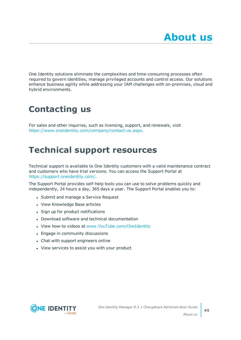<span id="page-44-0"></span>One Identity solutions eliminate the complexities and time-consuming processes often required to govern identities, manage privileged accounts and control access. Our solutions enhance business agility while addressing your IAM challenges with on-premises, cloud and hybrid environments.

# <span id="page-44-1"></span>**Contacting us**

For sales and other inquiries, such as licensing, support, and renewals, visit <https://www.oneidentity.com/company/contact-us.aspx>.

# <span id="page-44-2"></span>**Technical support resources**

Technical support is available to One Identity customers with a valid maintenance contract and customers who have trial versions. You can access the Support Portal at [https://support.oneidentity.com/.](https://support.oneidentity.com/)

The Support Portal provides self-help tools you can use to solve problems quickly and independently, 24 hours a day, 365 days a year. The Support Portal enables you to:

- Submit and manage a Service Request
- View Knowledge Base articles
- Sign up for product notifications
- Download software and technical documentation
- View how-to videos at [www.YouTube.com/OneIdentity](http://www.youtube.com/OneIdentity)
- Engage in community discussions
- Chat with support engineers online
- View services to assist you with your product

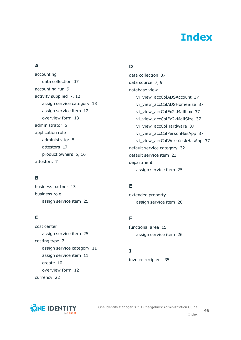# **Index**

### <span id="page-45-0"></span>**A**

accounting data collection [37](#page-36-1) accounting run [9](#page-8-1) activity supplied [7](#page-6-1), [12](#page-11-1) assign service category [13](#page-12-0) assign service item [12](#page-11-2) overview form [13](#page-12-1) administrator [5](#page-4-1) application role administrator [5](#page-4-1) attestors [17](#page-16-0) product owners [5,](#page-4-1) [16](#page-15-0) attestors [7](#page-6-1)

### **B**

business partner [13](#page-12-2) business role assign service item [25](#page-24-1)

### **C**

cost center assign service item [25](#page-24-0) costing type [7](#page-6-1) assign service category [11](#page-10-1) assign service item [11](#page-10-0) create [10](#page-9-0) overview form [12](#page-11-0) currency [22](#page-21-0)

### **D**

data collection [37](#page-36-1) data source [7](#page-6-1), [9](#page-8-0) database view vi\_view\_accColADSAccount [37](#page-36-1) vi\_view\_accColADSHomeSize [37](#page-36-1) vi\_view\_accColEx2kMailbox [37](#page-36-1) vi\_view\_accColEx2kMailSize [37](#page-36-1) vi\_view\_accColHardware [37](#page-36-1) vi\_view\_accColPersonHasApp [37](#page-36-1) vi\_view\_accColWorkdeskHasApp [37](#page-36-1) default service category [32](#page-31-0) default service item [23](#page-22-1) department assign service item [25](#page-24-0)

### **E**

extended property assign service item [26](#page-25-1)

### **F**

functional area [15](#page-14-0) assign service item [26](#page-25-0)

### **I**

invoice recipient [35](#page-34-0)

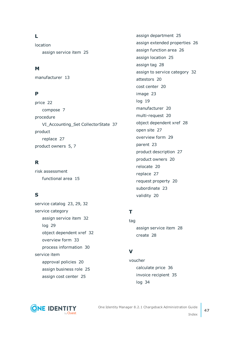### **L**

location assign service item [25](#page-24-0)

### **M**

manufacturer [13](#page-12-2)

### **P**

price [22](#page-21-0) compose [7](#page-6-0) procedure VI\_Accounting\_Set CollectorState [37](#page-36-1) product replace [27](#page-26-1) product owners [5,](#page-4-1) [7](#page-6-1)

### **R**

risk assessment functional area [15](#page-14-0)

### **S**

service catalog [23](#page-22-1), [29](#page-28-1), [32](#page-31-0) service category assign service item [32](#page-31-1) log [29](#page-28-1) object dependent xref [32](#page-31-2) overview form [33](#page-32-0) process information [30](#page-29-0) service item approval policies [20](#page-19-0) assign business role [25](#page-24-1) assign cost center [25](#page-24-0)

assign department [25](#page-24-0) assign extended properties [26](#page-25-1) assign function area [26](#page-25-0) assign location [25](#page-24-0) assign tag [28](#page-27-0) assign to service category [32](#page-31-1) attestors [20](#page-19-0) cost center [20](#page-19-0) image [23](#page-22-0) log [19](#page-18-0) manufacturer [20](#page-19-0) multi-request [20](#page-19-0) object dependent xref [28](#page-27-1) open site [27](#page-26-0) overview form [29](#page-28-0) parent [23](#page-22-2) product description [27](#page-26-0) product owners [20](#page-19-0) relocate [20](#page-19-0) replace [27](#page-26-1) request property [20](#page-19-0) subordinate [23](#page-22-2) validity [20](#page-19-0)

### **T**

tag assign service item [28](#page-27-0) create [28](#page-27-0)

### **V**

voucher calculate price [36](#page-35-1) invoice recipient [35](#page-34-0) log [34](#page-33-0)



One Identity Manager 8.2.1 Chargeback Administration Guide Index